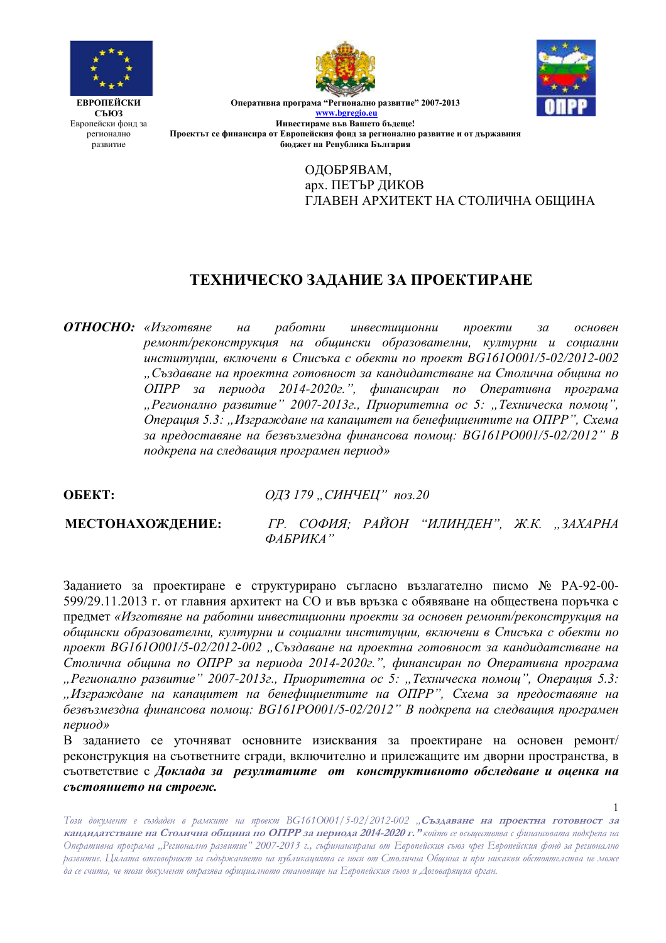



 $\mathbf{1}$ 

**ЕВРОПЕЙСКИ** СЪЮЗ Европейски фонд за регионално развитие

Оперативна програма "Регионално развитие" 2007-2013 www.bgregio.eu Инвестираме във Вашето бълеше! Проектът се финансира от Европейския фонд за регионално развитие и от държавния бюджет на Република България

> ОДОБРЯВАМ, арх. ПЕТЪР ДИКОВ ГЛАВЕН АРХИТЕКТ НА СТОЛИЧНА ОБШИНА

# ТЕХНИЧЕСКО ЗАДАНИЕ ЗА ПРОЕКТИРАНЕ

**ОТНОСНО:** «Изготвяне  $Ha$ работни инвестиционни проекти  $30<sup>2</sup>$ основен ремонт/реконструкция на обшински образователни, културни и сошални институции, включени в Списъка с обекти по проект BG1610001/5-02/2012-002 "Създаване на проектна готовност за кандидатстване на Столична община по ОПРР за периода 2014-2020г.", финансиран по Оперативна програма "Регионално развитие" 2007-2013г., Приоритетна ос 5: "Техническа помощ", Операция 5.3: "Изграждане на капацитет на бенефициентите на ОПРР", Схема за предоставяне на безвъзмездна финансова помощ: BG161PO001/5-02/2012" В подкрепа на следващия програмен период»

OБEKT:

ОДЗ 179 "СИНЧЕЦ" поз.20

## МЕСТОНАХОЖДЕНИЕ:

ГР. СОФИЯ; РАЙОН "ИЛИНДЕН", Ж.К. "ЗАХАРНА  $\Phi$ AEPUKA'

Заданието за проектиране е структурирано съгласно възлагателно писмо № РА-92-00-599/29.11.2013 г. от главния архитект на СО и във връзка с обявяване на обществена поръчка с предмет «Изготвяне на работни инвестиционни проекти за основен ремонт/реконструкция на общински образователни, културни и социални институции, включени в Списъка с обекти по проект BG1610001/5-02/2012-002, Създаване на проектна готовност за кандидатстване на Столична община по ОПРР за периода 2014-2020г.", финансиран по Оперативна програма "Регионално развитие" 2007-2013г., Приоритетна ос 5: "Техническа помощ", Операция 5.3: "Изграждане на капацитет на бенефициентите на ОПРР", Схема за предоставяне на безвъзмездна финансова помощ: BG161PO001/5-02/2012" В подкрепа на следващия програмен  $nepuodx$ 

В заданието се уточняват основните изисквания за проектиране на основен ремонт/ реконструкция на съответните сгради, включително и прилежащите им дворни пространства, в съответствие с Доклада за резултатите от конструктивното обследване и оценка на състоянието на строеж.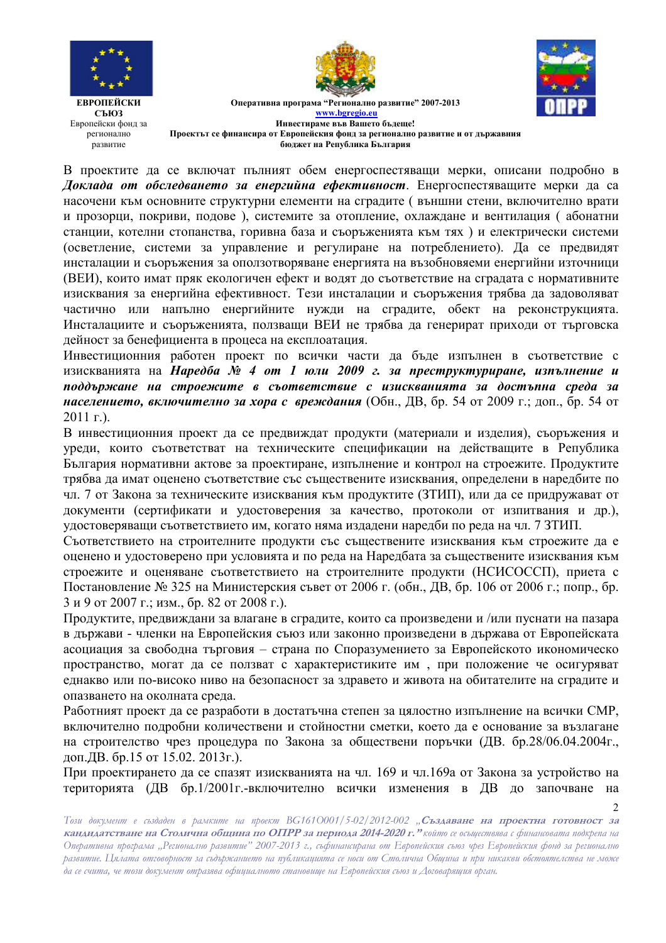



 $\overline{2}$ 

**ЕВРОПЕЙСКИ** СЪЮЗ Европейски фонд за регионално развитие

Оперативна програма "Регионално развитие" 2007-2013 www.bgregio.eu Инвестираме във Вашето бълеше! Проектът се финансира от Европейския фонд за регионално развитие и от държавния бюджет на Република България

В проектите да се включат пълният обем енергоспестяващи мерки, описани подробно в Доклада от обследването за енергийна ефективност. Енергоспестяващите мерки да са насочени към основните структурни елементи на сградите (външни стени, включително врати и прозорци, покриви, подове), системите за отопление, охлаждане и вентилация (абонатни станции, котелни стопанства, горивна база и съоръженията към тях) и електрически системи (осветление, системи за управление и регулиране на потреблението). Да се предвидят инсталации и съоръжения за оползотворяване енергията на възобновяеми енергийни източници (ВЕИ), които имат пряк екологичен ефект и водят до съответствие на сградата с нормативните изисквания за енергийна ефективност. Тези инсталации и съоръжения трябва да задоволяват частично или напълно енергийните нужди на сградите, обект на реконструкцията. Инсталациите и съоръженията, ползващи ВЕИ не трябва да генерират приходи от търговска дейност за бенефициента в процеса на експлоатация.

Инвестиционния работен проект по всички части да бъде изпълнен в съответствие с изискванията на Наредба № 4 от 1 юли 2009 г. за преструктуриране, изпълнение и поддържане на строежите в съответствие с изискванията за достъпна среда за населението, включително за хора с вреждания (Обн., ДВ, бр. 54 от 2009 г.; доп., бр. 54 от  $2011$  r.).

В инвестиционния проект да се предвиждат продукти (материали и изделия), съоръжения и уреди, които съответстват на техническите спецификации на действащите в Република България нормативни актове за проектиране, изпълнение и контрол на строежите. Продуктите трябва да имат оценено съответствие със съществените изисквания, определени в наредбите по чл. 7 от Закона за техническите изисквания към продуктите (ЗТИП), или да се придружават от документи (сертификати и удостоверения за качество, протоколи от изпитвания и др.), удостоверяващи съответствието им, когато няма издадени наредби по реда на чл. 7 ЗТИП.

Съответствието на строителните продукти със съществените изисквания към строежите да е оценено и удостоверено при условията и по реда на Наредбата за съществените изисквания към строежите и оценяване съответствието на строителните продукти (НСИСОССП), приета с Постановление № 325 на Министерския съвет от 2006 г. (обн., ДВ, бр. 106 от 2006 г.; попр., бр. 3 и 9 от 2007 г.; изм., бр. 82 от 2008 г.).

Продуктите, предвиждани за влагане в сградите, които са произведени и /или пуснати на пазара в държави - членки на Европейския съюз или законно произведени в държава от Европейската асоциация за свободна търговия - страна по Споразумението за Европейското икономическо пространство, могат да се ползват с характеристиките им, при положение че осигуряват еднакво или по-високо ниво на безопасност за здравето и живота на обитателите на сградите и опазването на околната среда.

Работният проект да се разработи в достатьчна степен за цялостно изпълнение на всички СМР, включително подробни количествени и стойностни сметки, което да е основание за възлагане на строителство чрез процедура по Закона за обществени поръчки (ДВ. бр.28/06.04.2004г., доп. ДВ. бр. 15 от 15.02. 2013г.).

При проектирането да се спазят изискванията на чл. 169 и чл. 169а от Закона за устройство на територията (ДВ бр.1/2001г.-включително всички изменения в ДВ до започване на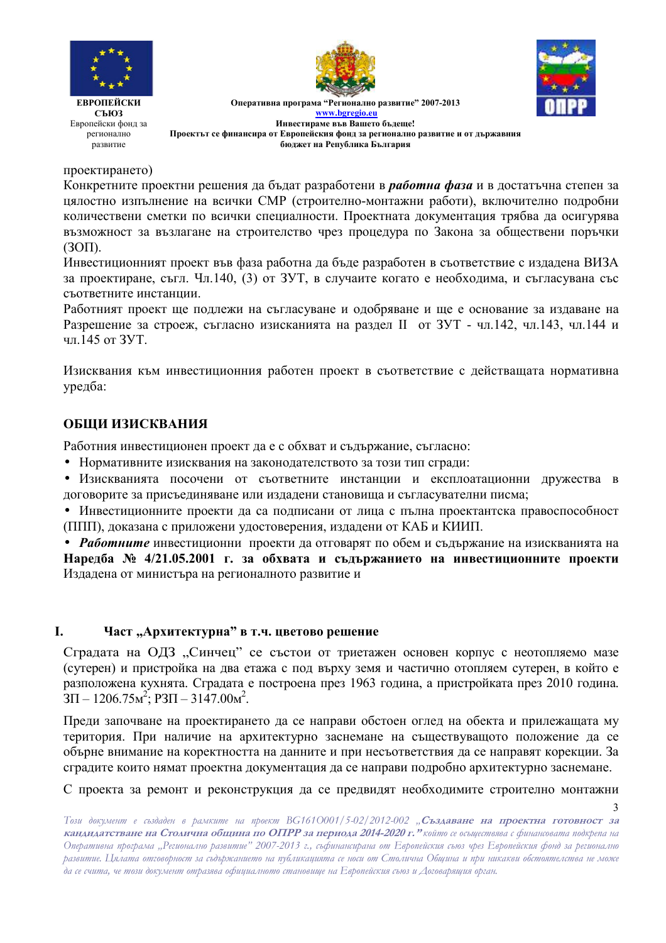





Оперативна програма "Регионално развитие" 2007-2013 www.bgregio.eu Инвестираме във Вашето бълеше! Проектът се финансира от Европейския фонд за регионално развитие и от държавния бюджет на Република България

проектирането)

Конкретните проектни решения да бъдат разработени в *работна фаза* и в достатъчна степен за цялостно изпълнение на всички СМР (строително-монтажни работи), включително подробни количествени сметки по всички специалности. Проектната документация трябва да осигурява възможност за възлагане на строителство чрез процедура по Закона за обществени поръчки  $(3OH)$ .

Инвестиционният проект във фаза работна да бъде разработен в съответствие с издадена ВИЗА за проектиране, съгл. Чл.140, (3) от ЗУТ, в случаите когато е необходима, и съгласувана със съответните инстанции.

Работният проект ще подлежи на съгласуване и одобряване и ще е основание за издаване на Разрешение за строеж, съгласно изисканията на раздел II от ЗУТ - чл.142, чл.143, чл.144 и чл 145 от ЗУТ

Изисквания към инвестиционния работен проект в съответствие с действащата нормативна уредба:

## ОБЩИ ИЗИСКВАНИЯ

Работния инвестиционен проект да е с обхват и съдържание, съгласно:

• Нормативните изисквания на законодателството за този тип сгради:

• Изискванията посочени от съответните инстанции и експлоатационни дружества в договорите за присъединяване или издадени становища и съгласувателни писма;

• Инвестиционните проекти да са подписани от лица с пълна проектантска правоспособност (ППП), доказана с приложени удостоверения, издадени от КАБ и КИИП.

• Работните инвестиционни проекти да отговарят по обем и съдържание на изискванията на Наредба № 4/21.05.2001 г. за обхвата и съдържанието на инвестиционните проекти Издадена от министъра на регионалното развитие и

#### L. Част "Архитектурна" в т.ч. цветово решение

Сградата на ОДЗ "Синчец" се състои от триетажен основен корпус с неотопляемо мазе (сутерен) и пристройка на два етажа с под върху земя и частично отопляем сутерен, в който е разположена кухнята. Сградата е построена през 1963 година, а пристройката през 2010 година.  $3\Pi - 1206.75 \text{m}^2$ ;  $P3\Pi - 3147.00 \text{m}^2$ .

Преди започване на проектирането да се направи обстоен оглед на обекта и прилежащата му територия. При наличие на архитектурно заснемане на съществуващото положение да се обърне внимание на коректността на данните и при несъответствия да се направят корекции. За сградите които нямат проектна документация да се направи подробно архитектурно заснемане.

С проекта за ремонт и реконструкция да се предвидят необходимите строително монтажни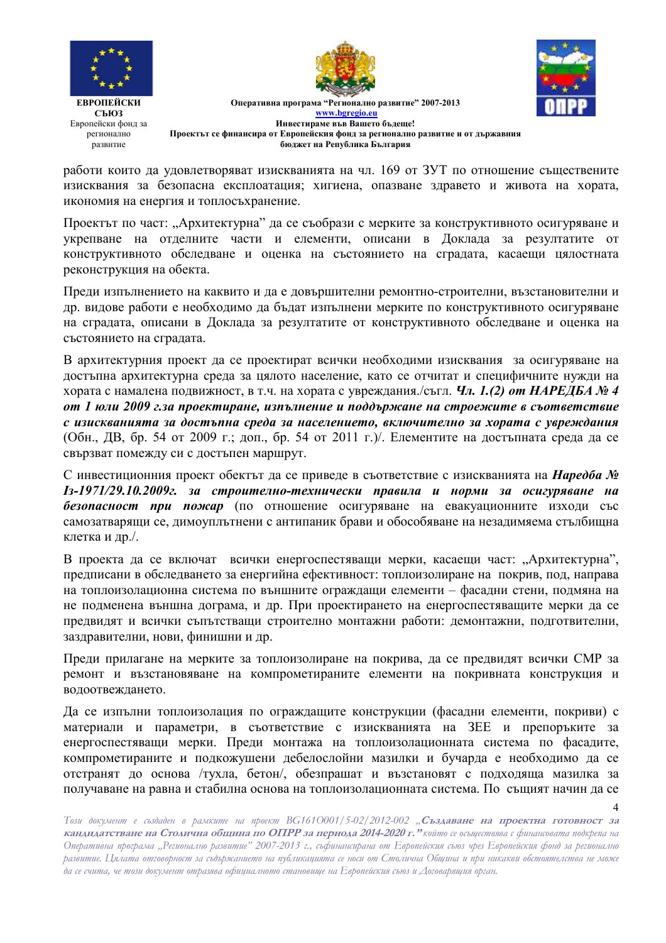





 $\boldsymbol{\Lambda}$ 

**ЕВРОПЕЙСКИ СЪЮЗ** Европейски фонд за регионално развитие

Оперативна програма "Регионално развитие" 2007-2013 www.bgregio.eu Инвестираме във Вашето бъдеще! Проектът се финансира от Европейския фонд за регионално развитие и от държавния бюджет на Република България

работи които да удовлетворяват изискванията на чл. 169 от ЗУТ по отношение съществените изисквания за безопасна експлоатация; хигиена, опазване здравето и живота на хората, икономия на енергия и топлосъхранение.

Проектът по част: "Архитектурна" да се съобрази с мерките за конструктивното осигуряване и укрепване на отделните части и елементи, описани в Доклада за резултатите от конструктивното обследване и оценка на състоянието на сградата, касаещи цялостната реконструкция на обекта.

Прели изпълнението на каквито и ла е ловършителни ремонтно-строителни, възстановителни и др. видове работи е необходимо да бъдат изпълнени мерките по конструктивното осигуряване на сградата, описани в Доклада за резултатите от конструктивното обследване и оценка на състоянието на сградата.

В архитектурния проект да се проектират всички необходими изисквания за осигуряване на лостъпна архитектурна среда за цялото население, като се отчитат и специфичните нужди на хората с намалена подвижност, в т.ч. на хората с увреждания/съгл. Чл. 1.(2) от НАРЕДБА № 4 от 1 юли 2009 г. за проектиране, изпълнение и поддържане на строежите в съответствие с изискванията за достъпна среда за населението, включително за хората с увреждания (Обн., ДВ, бр. 54 от 2009 г.; доп., бр. 54 от 2011 г.)/. Елементите на достъпната среда да се свързват помежду си с достъпен маршрут.

С инвестиционния проект обектът да се приведе в съответствие с изискванията на Наредба № Iз-1971/29.10.2009г. за строително-технически правила и норми за осигуряване на безопасност при пожар (по отношение осигуряване на евакуационните изходи със самозатварящи се, димоуплътнени с антипаник брави и обособяване на незадимяема стълбищна клетка и др./.

В проекта да се включат всички енергоспестяващи мерки, касаещи част: "Архитектурна", предписани в обследването за енергийна ефективност: топлоизолиране на покрив, под. направа на топлоизолационна система по външните ограждащи елементи – фасадни стени, подмяна на не подменена външна дограма, и др. При проектирането на енергоспестяващите мерки да се предвидят и всички съпътстващи строително монтажни работи: демонтажни, подготвителни, заздравителни, нови, финишни и др.

Преди прилагане на мерките за топлоизолиране на покрива, да се предвидят всички СМР за ремонт и възстановяване на компрометираните елементи на покривната конструкция и водоотвеждането.

Да се изпълни топлоизолация по ограждащите конструкции (фасадни елементи, покриви) с материали и параметри, в съответствие с изискванията на ЗЕЕ и препоръките за енергоспестяващи мерки. Преди монтажа на топлоизолационната система по фасадите, компрометираните и подкожушени дебелослойни мазилки и бучарда е необходимо да се отстранят до основа /тухла, бетон/, обезпрашат и възстановят с подходяща мазилка за получаване на равна и стабилна основа на топлоизолационната система. По същият начин да се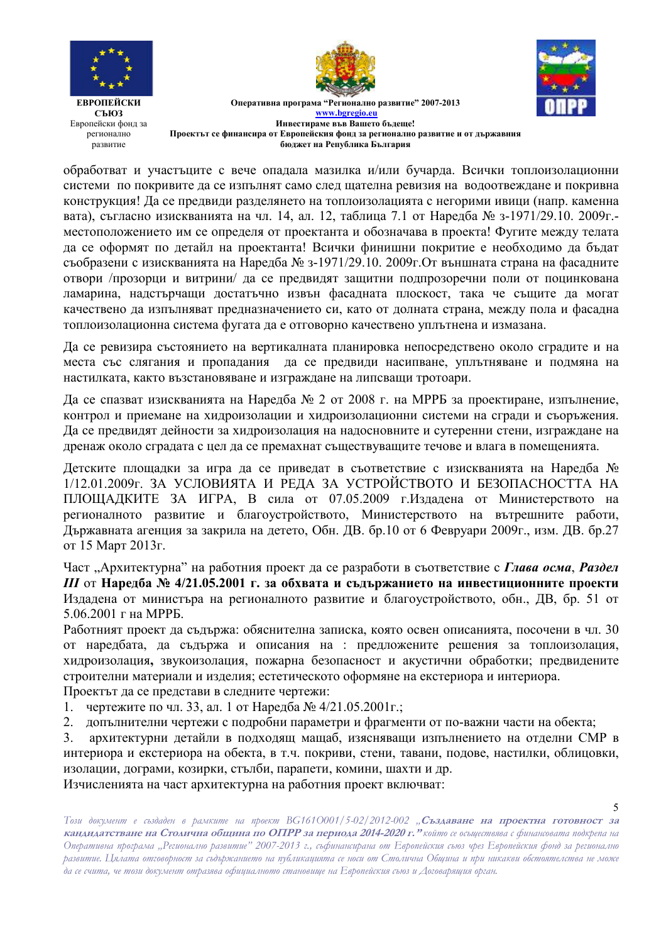



Оперативна програма "Регионално развитие" 2007-2013

**www.bgregio.eu Инвестираме във Вашето бъдеще! Проектът се финансира от Европейския фонд за регионално развитие и от държавния бюджет на Република България** 

обработват и участъците с вече опадала мазилка и/или бучарда. Всички топлоизолационни системи по покривите да се изпълнят само след щателна ревизия на водоотвеждане и покривна конструкция! Да се предвиди разделянето на топлоизолацията с негорими ивици (напр. каменна вата), съгласно изискванията на чл. 14, ал. 12, таблица 7.1 от Наредба № з-1971/29.10. 2009г.местоположението им се определя от проектанта и обозначава в проекта! Фугите между телата да се оформят по детайл на проектанта! Всички финишни покритие е необходимо да бъдат съобразени с изискванията на Наредба № 3-1971/29.10. 2009г.От външната страна на фасадните отвори /прозорци и витрини/ да се предвидят защитни подпрозоречни поли от поцинкована ламарина, надстърчащи достатъчно извън фасадната плоскост, така че същите да могат качествено да изпълняват предназначението си, като от долната страна, между пола и фасадна топлоизолационна система фугата да е отговорно качествено уплътнена и измазана.

Да се ревизира състоянието на вертикалната планировка непосредствено около сградите и на места със слягания и пропадания да се предвиди насипване, уплътняване и подмяна на настилката, както възстановяване и изграждане на липсващи тротоари.

Да се спазват изискванията на Наредба № 2 от 2008 г. на МРРБ за проектиране, изпълнение, контрол и приемане на хидроизолации и хидроизолационни системи на сгради и съоръжения. Да се предвидят дейности за хидроизолация на надосновните и сутеренни стени, изграждане на дренаж около сградата с цел да се премахнат съществуващите течове и влага в помещенията.

Детските площадки за игра да се приведат в съответствие с изискванията на Наредба № 1/12.01.2009г. ЗА УСЛОВИЯТА И РЕДА ЗА УСТРОЙСТВОТО И БЕЗОПАСНОСТТА НА ПЛОЩАДКИТЕ ЗА ИГРА, В сила от 07.05.2009 г.Издадена от Министерството на регионалното развитие и благоустройството, Министерството на вътрешните работи, Държавната агенция за закрила на детето, Обн. ДВ. бр.10 от 6 Февруари 2009г., изм. ДВ. бр.27 от 15 Март 2013г.

Част "Архитектурна" на работния проект да се разработи в съответствие с Глава осма, Раздел  $III$  от Наредба № 4/21.05.2001 г. за обхвата и съдържанието на инвестиционните проекти Издадена от министъра на регионалното развитие и благоустройството, обн., ДВ, бр. 51 от  $5.06.2001$   $\Gamma$  Ha MPPE.

Работният проект да съдържа: обяснителна записка, която освен описанията, посочени в чл. 30 от наредбата, да съдържа и описания на : предложените решения за топлоизолация, хидроизолация, звукоизолация, пожарна безопасност и акустични обработки; предвидените строителни материали и изделия; естетическото оформяне на екстериора и интериора.

Проектът да се представи в следните чертежи:

- 1. чертежите по чл. 33, ал. 1 от Наредба № 4/21.05.2001г.;
- 2. допълнителни чертежи с подробни параметри и фрагменти от по-важни части на обекта;

3. архитектурни детайли в подходящ мащаб, изясняващи изпълнението на отделни СМР в интериора и екстериора на обекта, в т.ч. покриви, стени, тавани, подове, настилки, облицовки, изолации, дограми, козирки, стълби, парапети, комини, шахти и др.

Изчисленията на част архитектурна на работния проект включват: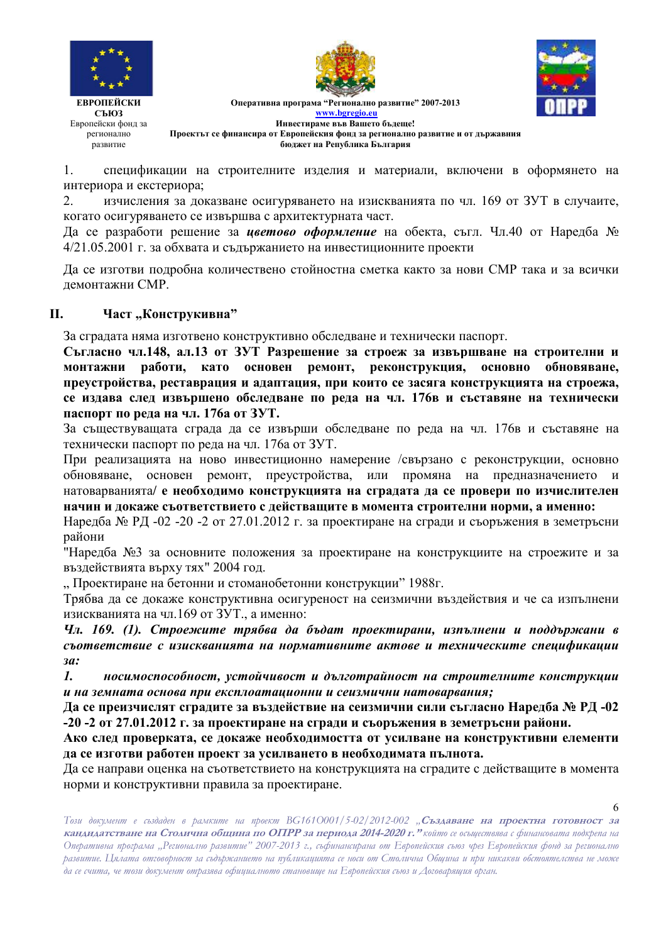



Оперативна програма "Регионално развитие" 2007-2013 **www.bgregio.eu Инвестираме във Вашето бъдеще! Проектът се финансира от Европейския фонд за регионално развитие и от държавния бюджет на Република България** 

1. спецификации на строителните изделия и материали, включени в оформянето на интериора и екстериора;

2. зчисления за доказване осигуряването на изискванията по чл. 169 от ЗУТ в случаите, когато осигуряването се извършва с архитектурната част.

Да се разработи решение за **цветово оформление** на обекта, съгл. Чл.40 от Наредба № 4/21.05.2001 г. за обхвата и съдържанието на инвестиционните проекти

Да се изготви подробна количествено стойностна сметка както за нови СМР така и за всички демонтажни СМР.

## **II.** Част "Конструкивна"

За сградата няма изготвено конструктивно обследване и технически паспорт.

Съгласно чл.148, ал.13 от ЗУТ Разрешение за строеж за извършване на строителни и **МОНТАЖНИ РАОСТИ, КАТО ОСНОВЕН РЕМОНТ, РЕКОНСТРУКЦИЯ, ОСНОВНО ОбНОВЯВАНЕ, преустройства, реставрация и адаптация, при които се засяга конструкцията на строежа,** се издава след извършено обследване по реда на чл. 176в и съставяне на технически **паспорт по реда на чл. 176а от ЗУТ.** 

За съществуващата сграда да се извърши обследване по реда на чл. 176в и съставяне на технически паспорт по реда на чл. 176а от ЗУТ.

При реализацията на ново инвестиционно намерение /свързано с реконструкции, основно обновяване, основен ремонт, преустройства, или промяна на предназначението и натоварванията/ е необходимо конструкцията на сградата да се провери по изчислителен **НАЧИН И ДОКАЖЕ СЪОТВЕТСТВИЕТО С ДЕЙСТВАЩИТЕ В МОМЕНТА СТРОИТЕЛНИ НОРМИ, А ИМЕННО:** 

Наредба № РД -02 -20 -2 от 27.01.2012 г. за проектиране на сгради и съоръжения в земетръсни райони

"Наредба №3 за основните положения за проектиране на конструкциите на строежите и за въздействията върху тях" 2004 год.

,, Проектиране на бетонни и стоманобетонни конструкции" 1988г.

Трябва да се докаже конструктивна осигуреност на сеизмични въздействия и че са изпълнени изискванията на чл.169 от ЗУТ., а именно:

Чл. 169. (1). Строежите трябва да бъдат проектирани, изпълнени и поддържани в  $\bm{c}$ *съответствие с изискванията на нормативните актове и техническите спецификации :*

1. иосимоспособност, устойчивост и дълготрайност на строителните конструкции  $\bm{u}$  на земната основа при експлоатационни и сеизмични натоварвания;

Да се преизчислят сградите за въздействие на сеизмични сили съгласно Наредба № РД -02 **-20 -2 27.01.2012 . 3 ,0 ,--76 -, 5.**

**Ако след проверката, се докаже необходимостта от усилване на конструктивни елементи** да се изготви работен проект за усилването в необходимата пълнота.

Да се направи оценка на съответствието на конструкцията на сградите с действащите в момента норми и конструктивни правила за проектиране.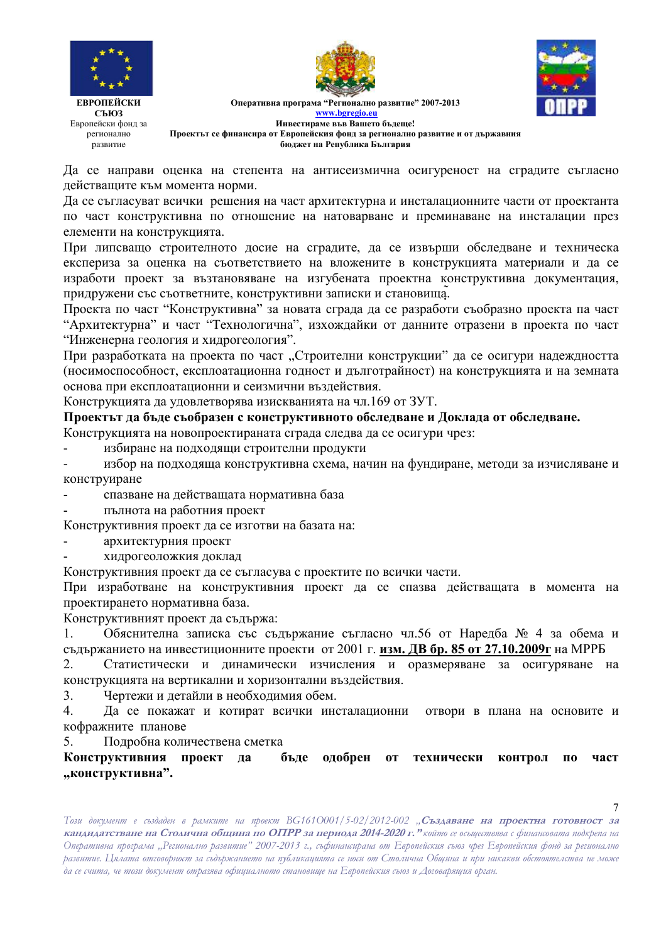





 $\overline{7}$ 

Оперативна програма "Регионално развитие" 2007-2013 www.bgregio.eu Инвестираме във Вашето бълеше! Проектът се финансира от Европейския фонд за регионално развитие и от държавния бюджет на Република България

Да се направи оценка на степента на антисеизмична осигуреност на сградите съгласно действащите към момента норми.

Да се съгласуват всички решения на част архитектурна и инсталационните части от проектанта по част конструктивна по отношение на натоварване и преминаване на инсталации през елементи на конструкцията.

При липсващо строителното досие на сградите, да се извърши обследване и техническа експериза за оценка на съответствието на вложените в конструкцията материали и да се изработи проект за възтановяване на изгубената проектна конструктивна документация, придружени със съответните, конструктивни записки и становища.

Проекта по част "Конструктивна" за новата сграда да се разработи съобразно проекта па част "Архитектурна" и част "Технологична", изхождайки от данните отразени в проекта по част "Инженерна геология и хидрогеология".

При разработката на проекта по част "Строителни конструкции" да се осигури надеждността (носимоспособност, експлоатационна годност и дълготрайност) на конструкцията и на земната основа при експлоатационни и сеизмични въздействия.

Конструкцията да удовлетворява изискванията на чл.169 от ЗУТ.

Проектът да бъде съобразен с конструктивното обследване и Доклада от обследване.

Конструкцията на новопроектираната сграда следва да се осигури чрез:

избиране на подходящи строителни продукти  $\overline{a}$ 

избор на подходяща конструктивна схема, начин на фундиране, методи за изчисляване и  $\overline{a}$ конструиране

спазване на действащата нормативна база  $\overline{a}$ 

 $\overline{a}$ пълнота на работния проект

Конструктивния проект да се изготви на базата на:

- архитектурния проект
- хидрогеоложкия доклад

Конструктивния проект да се съгласува с проектите по всички части.

При изработване на конструктивния проект да се спазва действащата в момента на проектирането нормативна база.

Конструктивният проект да съдържа:

Обяснителна записка със съдържание съгласно чл.56 от Наредба № 4 за обема и 1. съдържанието на инвестиционните проекти от 2001 г. изм. ДВ бр. 85 от 27.10.2009г на МРРБ

Статистически и динамически изчисления и оразмеряване за осигуряване на 2. конструкцията на вертикални и хоризонтални въздействия.

 $\mathcal{L}$ Чертежи и детайли в необходимия обем.

 $\overline{4}$ . Да се покажат и котират всички инсталационни отвори в плана на основите и кофражните планове

Подробна количествена сметка  $5<sub>1</sub>$ 

Конструктивния проект да бъде одобрен  $\overline{\mathbf{0}}$ технически контрол  $\Pi$ <sup>0</sup> част "конструктивна".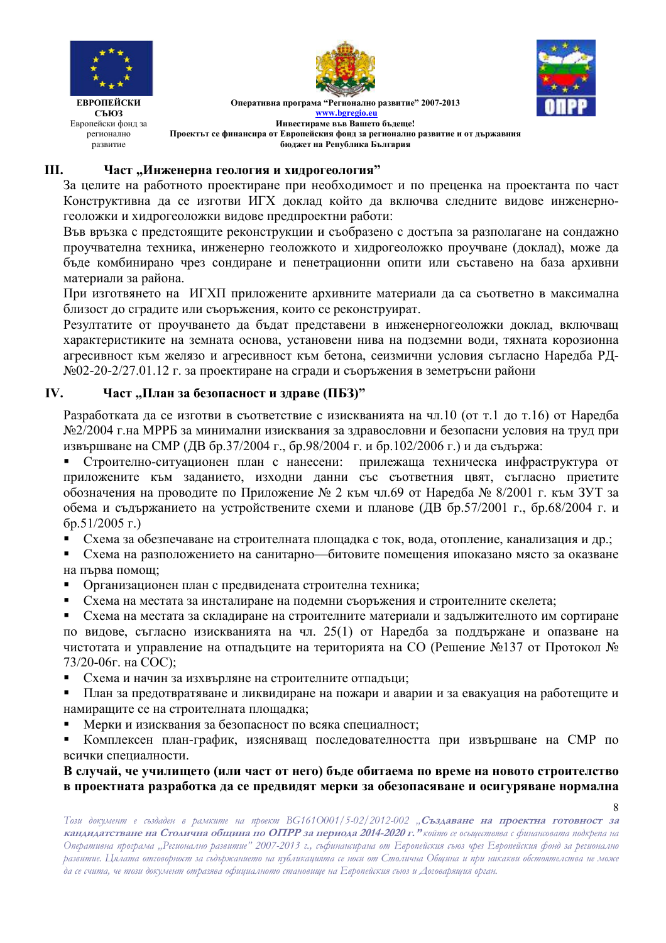

 $\mathbf{Q}$ 

**ЕВРОПЕЙСКИ** СЪЮЗ Европейски фонд за регионално развитие

Оперативна програма "Регионално развитие" 2007-2013 www.bgregio.eu Инвестираме във Вашето бълеше! Проектът се финансира от Европейския фонд за регионално развитие и от държавния бюджет на Република България

#### III. Част "Инженерна геология и хидрогеология"

За целите на работното проектиране при необходимост и по преценка на проектанта по част Конструктивна да се изготви ИГХ доклад който да включва следните видове инженерногеоложки и хидрогеоложки видове предпроектни работи:

Във връзка с предстоящите реконструкции и съобразено с достъпа за разполагане на сондажно проучвателна техника, инженерно геоложкото и хидрогеоложко проучване (доклад), може да бъде комбинирано чрез сондиране и пенетрационни опити или съставено на база архивни материали за района.

При изготвянето на ИГХП приложените архивните материали да са съответно в максимална близост до сградите или съоръжения, които се реконструират.

Резултатите от проучването да бъдат представени в инженерногеоложки доклад, включващ характеристиките на земната основа, установени нива на подземни води, тяхната корозионна агресивност към желязо и агресивност към бетона, сеизмични условия съгласно Наредба РД-№02-20-2/27.01.12 г. за проектиране на сгради и съоръжения в земетръсни райони

#### IV. Част "План за безопасност и здраве (ПБЗ)"

Разработката да се изготви в съответствие с изискванията на чл.10 (от т.1 до т.16) от Наредба №2/2004 г.на МРРБ за минимални изисквания за здравословни и безопасни условия на труд при извършване на СМР (ДВ бр.37/2004 г., бр.98/2004 г. и бр.102/2006 г.) и да съдържа:

Строително-ситуационен план с нанесени: прилежаща техническа инфраструктура от  $\blacksquare$ приложените към заданието, изходни данни със съответния цвят, съгласно приетите обозначения на проводите по Приложение № 2 към чл.69 от Наредба № 8/2001 г. към ЗУТ за обема и съдържанието на устройствените схеми и планове (ДВ бр.57/2001 г., бр.68/2004 г. и  $(5p.51/2005)$   $\Gamma$ .)

- $\blacksquare$ Схема за обезпечаване на строителната площадка с ток, вода, отопление, канализация и др.;
- Схема на разположението на санитарно битовите помещения ипоказано място за оказване на първа помощ;
- Организационен план с предвидената строителна техника;
- $\blacksquare$ Схема на местата за инсталиране на подемни съоръжения и строителните скелета;

Схема на местата за складиране на строителните материали и задължителното им сортиране  $\mathbf{u}$  . по вилове, съгласно изискванията на чл. 25(1) от Нарелба за поллържане и опазване на чистотата и управление на отпадъците на територията на СО (Решение №137 от Протокол № 73/20-06г. на СОС);

- Схема и начин за изхвърляне на строителните отпадъци;
- План за предотвратяване и ликвидиране на пожари и аварии и за евакуация на работещите и  $\blacksquare$ намиращите се на строителната площадка;
- Мерки и изисквания за безопасност по всяка специалност;  $\blacksquare$

Комплексен план-график, изясняващ последователността при извършване на СМР по всички специалности.

В случай, че училището (или част от него) бъде обитаема по време на новото строителство в проектната разработка да се предвидят мерки за обезопасяване и осигуряване нормална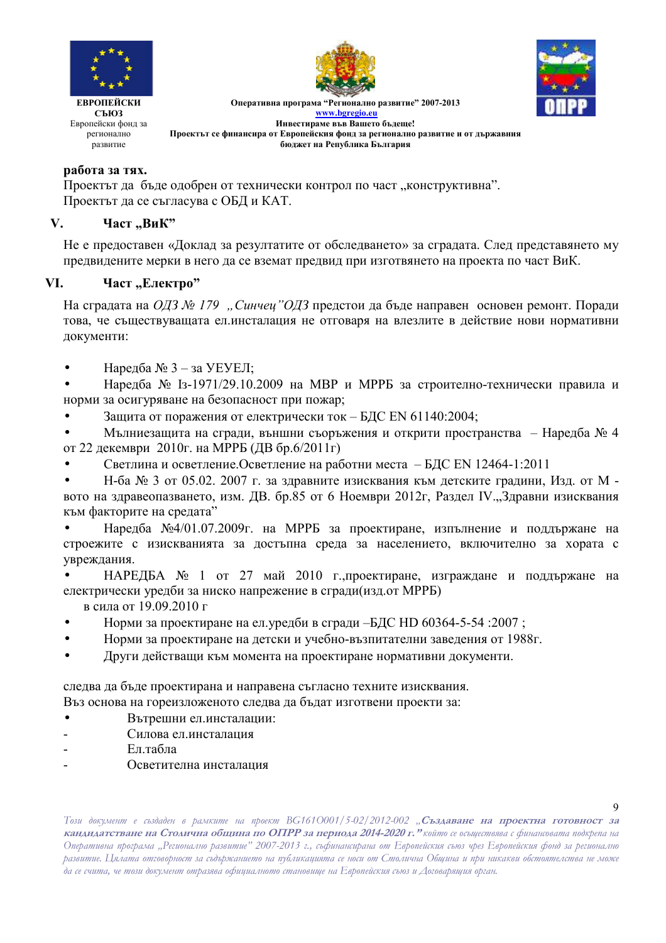



Оперативна програма "Регионално развитие" 2007-2013 **www.bgregio.eu Инвестираме във Вашето бъдеще! Проектът се финансира от Европейския фонд за регионално развитие и от държавния бюджет на Република България** 

## **работа за тях.**

Проектът да бъде одобрен от технически контрол по част "конструктивна". Проектът да се съгласува с ОБД и КАТ.

### V. Част "ВиК"

Не е предоставен «Доклад за резултатите от обследването» за сградата. След представянето му предвидените мерки в него да се вземат предвид при изготвянето на проекта по част ВиК.

### VI. Част "Електро"

На сградата на *ОДЗ № 179 "Синчец"ОДЗ* предстои да бъде направен основен ремонт. Поради това, че съществуващата ел инсталация не отговаря на влезлите в действие нови нормативни документи:

Нарелба № 3 – за УЕУЕЛ:

• Наредба № 1з-1971/29.10.2009 на МВР и МРРБ за строително-технически правила и норми за осигуряване на безопасност при пожар;

• Защита от поражения от електрически ток - БДС EN 61140:2004;

• Мълниезащита на сгради, външни съоръжения и открити пространства – Наредба № 4 от 22 декември 2010г. на МРРБ (ДВ бр.6/2011г)

• Светлина и осветление. Осветление на работни места – БДС EN 12464-1:2011

• Н-ба № 3 от 05.02. 2007 г. за здравните изисквания към детските градини, Изд. от М вото на здравеопазването, изм. ДВ. бр.85 от 6 Ноември 2012г, Раздел IV.,,Здравни изисквания към факторите на средата"

• Наредба №4/01.07.2009г. на МРРБ за проектиране, изпълнение и поддържане на строежите с изискванията за достъпна среда за населението, включително за хората с увреждания.

• НАРЕДБА № 1 от 27 май 2010 г., проектиране, изграждане и поддържане на електрически уредби за ниско напрежение в сгради(изд.от МРРБ)

в сила от 19.09.2010 г

- Норми за проектиране на ел. уредби в сгради -БДС HD 60364-5-54 :2007 ;
- Норми за проектиране на детски и учебно-възпитателни заведения от 1988г.
- Други действащи към момента на проектиране нормативни документи.

следва да бъде проектирана и направена съгласно техните изисквания. Въз основа на гореизложеното следва да бъдат изготвени проекти за:

- Вътрешни ел.инсталации:
- Силова ел.инсталация
- $E<sub>II</sub>$  табла
- Осветителна инсталация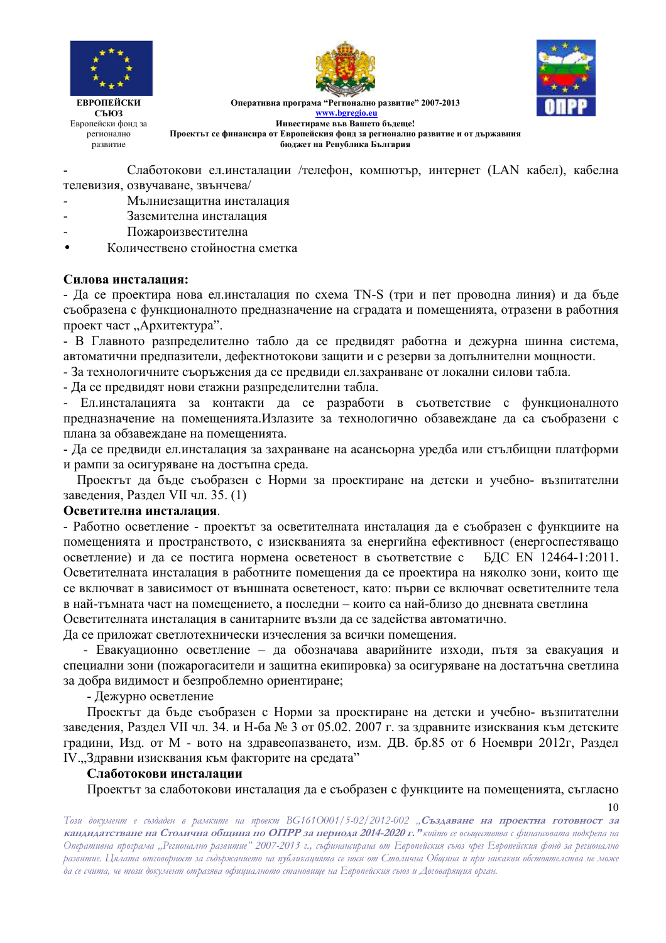





Оперативна програма "Регионално развитие" 2007-2013 www.bgregio.eu Инвестираме във Вашето бъдеще! Проектът се финансира от Европейския фонд за регионално развитие и от държавния

бюджет на Република България

Слаботокови ел.инсталации /телефон, компютър, интернет (LAN кабел), кабелна телевизия, озвучаване, звънчева/

- Мълниезашитна инсталация
- Заземителна инсталация
- Пожароизвестителна
- Количествено стойностна сметка

### Силова инсталания:

- Да се проектира нова ел.инсталация по схема TN-S (три и пет проводна линия) и да бъде съобразена с функционалното предназначение на сградата и помещенията, отразени в работния проект част "Архитектура".

- В Главното разпределително табло да се предвидят работна и дежурна шинна система, автоматични предпазители, дефектнотокови защити и с резерви за допълнителни мощности.

- За технологичните съоръжения да се предвиди ел. захранване от локални силови табла.

- Да се предвидят нови етажни разпределителни табла.

- Ел.инсталацията за контакти да се разработи в съответствие с функционалното предназначение на помещенията. Излазите за технологично обзавеждане да са съобразени с плана за обзавеждане на помещенията.

- Да се предвиди ел.инсталация за захранване на асансьорна уредба или стълбищни платформи и рампи за осигуряване на достъпна среда.

Проектът да бъде съобразен с Норми за проектиране на детски и учебно- възпитателни заведения, Раздел VII чл. 35. (1)

### Осветителна инсталация.

- Работно осветление - проектът за осветителната инсталация да е съобразен с функциите на помещенията и пространството, с изискванията за енергийна ефективност (енергоспестяващо осветление) и да се постига нормена осветеност в съответствие с БДС EN 12464-1:2011. Осветителната инсталация в работните помещения да се проектира на няколко зони, които ще се включват в зависимост от външната осветеност, като: първи се включват осветителните тела в най-тъмната част на помещението, а последни – които са най-близо до дневната светлина Осветителната инсталация в санитарните възли ла се залейства автоматично.

Да се приложат светлотехнически изчесления за всички помещения.

- Евакуационно осветление - да обозначава аварийните изходи, пътя за евакуация и специални зони (пожарогасители и защитна екипировка) за осигуряване на достатьчна светлина за добра видимост и безпроблемно ориентиране;

- Лежурно осветление

Проектът да бъде съобразен с Норми за проектиране на детски и учебно- възпитателни заведения, Раздел VII чл. 34. и Н-ба № 3 от 05.02. 2007 г. за здравните изисквания към детските градини, Изд. от М - вото на здравеопазването, изм. ДВ. бр.85 от 6 Ноември 2012г, Раздел IV., Здравни изисквания към факторите на средата"

### Слаботокови инсталации

Проектът за слаботокови инсталация да е съобразен с функциите на помещенията, съгласно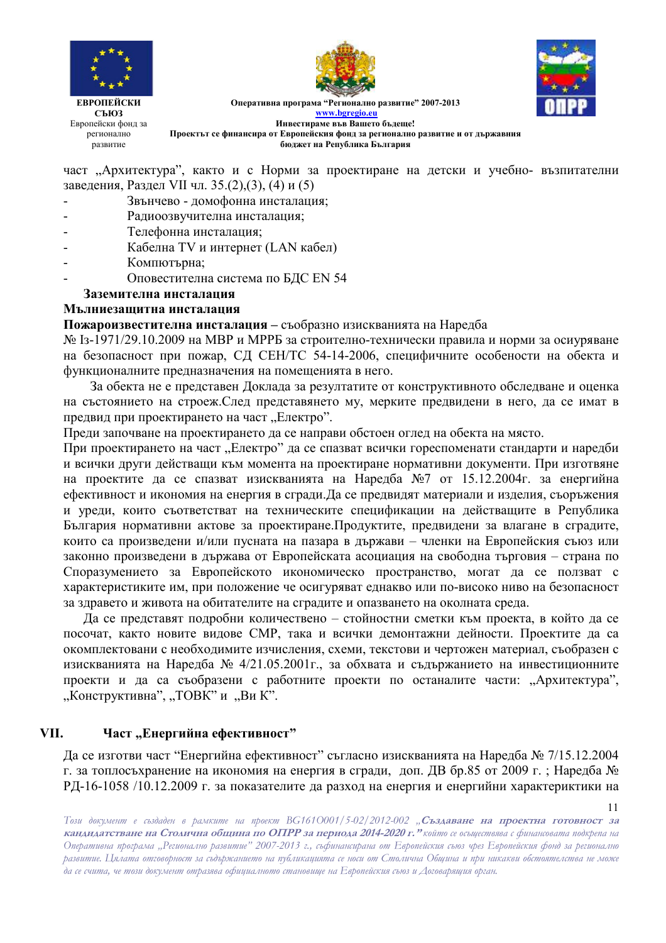





**ЕВРОПЕЙСКИ СЪЮЗ** Европейски фонд за регионално развитие

Оперативна програма "Регионално развитие" 2007-2013 www.bgregio.eu Инвестираме във Вашето бъдеще! Проектът се финансира от Европейския фонд за регионално развитие и от държавния бюджет на Република България

част "Архитектура", както и с Норми за проектиране на детски и учебно- възпитателни заведения, Раздел VII чл. 35.(2),(3), (4) и (5)

- Звънчево домофонна инсталация;
- Радиоозвучителна инсталация;
- Телефонна инсталация;
- Кабелна TV и интернет (LAN кабел)
- Компютърна;
- Оповестителна система по БДС EN 54

### Заземителна инсталация

### Мълниезашитна инсталания

Пожароизвестителна инсталация - съобразно изискванията на Наредба

№ 13-1971/29.10.2009 на МВР и МРРБ за строително-технически правила и норми за осиуряване на безопасност при пожар, СД СЕН/ТС 54-14-2006, специфичните особености на обекта и функционалните предназначения на помещенията в него.

За обекта не е представен Доклада за резултатите от конструктивното обследване и оценка на състоянието на строеж. След представянето му, мерките предвидени в него, да се имат в предвид при проектирането на част "Електро".

Преди започване на проектирането да се направи обстоен оглед на обекта на място.

При проектирането на част "Електро" да се спазват всички гореспоменати стандарти и наредби и всички други действащи към момента на проектиране нормативни документи. При изготвяне на проектите да се спазват изискванията на Наредба №7 от 15.12.2004г. за енергийна ефективност и икономия на енергия в сгради. Да се предвидят материали и изделия, съоръжения и уреди, които съответстват на техническите спецификации на действащите в Република България нормативни актове за проектиране. Продуктите, предвидени за влагане в сградите, които са произведени и/или пусната на пазара в държави - членки на Европейския съюз или законно произведени в държава от Европейската асоциация на свободна търговия - страна по Споразумението за Европейското икономическо пространство, могат да се ползват с характеристиките им, при положение че осигуряват еднакво или по-високо ниво на безопасност за здравето и живота на обитателите на сградите и опазването на околната среда.

Да се представят подробни количествено – стойностни сметки към проекта, в който да се посочат, както новите видове СМР, така и всички демонтажни дейности. Проектите да са окомплектовани с необходимите изчисления, схеми, текстови и чертожен материал, съобразен с изискванията на Наредба № 4/21.05.2001г., за обхвата и съдържанието на инвестиционните проекти и да са съобразени с работните проекти по останалите части: "Архитектура", "Конструктивна", "ТОВК" и "Ви К".

#### VII. Част "Енергийна ефективност"

Да се изготви част "Енергийна ефективност" съгласно изискванията на Наредба № 7/15.12.2004 г. за топлосъхранение на икономия на енергия в сгради, доп. ДВ бр.85 от 2009 г.; Наредба № РД-16-1058 /10.12.2009 г. за показателите да разход на енергия и енергийни характериктики на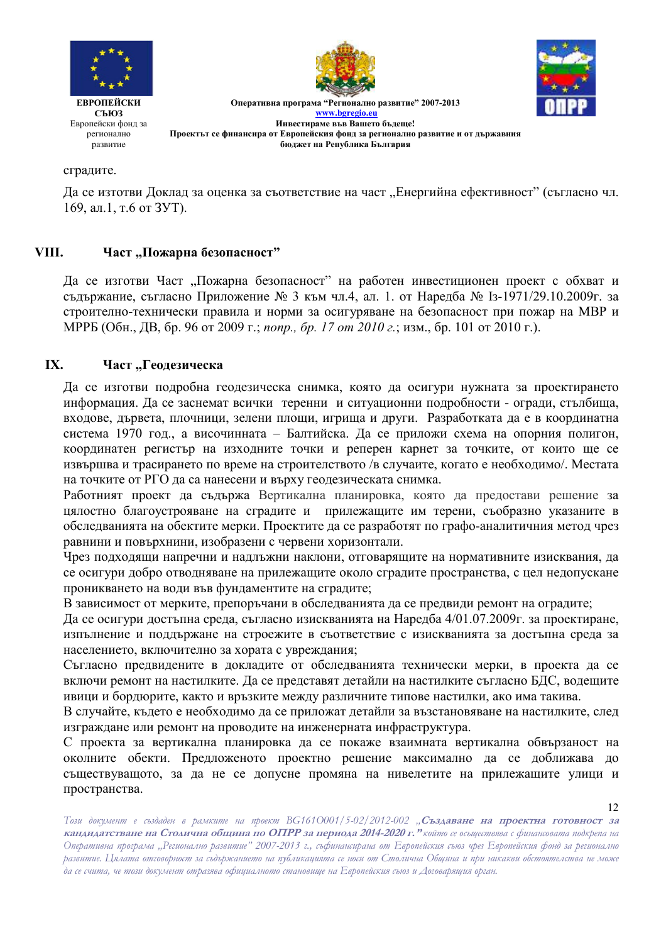





**ЕВРОПЕЙСКИ** СЪЮЗ Европейски фонд за регионално развитие

Оперативна програма "Регионално развитие" 2007-2013 www.bgregio.eu Инвестираме във Вашето бъдеще! Проектът се финансира от Европейския фонд за регионално развитие и от държавния бюджет на Република България

### сградите.

Да се изтотви Доклад за оценка за съответствие на част "Енергийна ефективност" (съгласно чл. 169, ал.1, т.6 от ЗУТ).

#### VIII. Част "Пожарна безопасност"

Да се изготви Част "Пожарна безопасност" на работен инвестиционен проект с обхват и съдържание, съгласно Приложение № 3 към чл.4, ал. 1. от Наредба № 13-1971/29.10.2009г. за строително-технически правила и норми за осигуряване на безопасност при пожар на МВР и МРРБ (Обн., ДВ, бр. 96 от 2009 г.; попр., бр. 17 от 2010 г.; изм., бр. 101 от 2010 г.).

#### $IX.$ Част "Геодезическа

Да се изготви подробна геодезическа снимка, която да осигури нужната за проектирането информация. Да се заснемат всички теренни и ситуационни подробности - огради, стълбища, входове, дървета, плочници, зелени площи, игрища и други. Разработката да е в координатна система 1970 год., а височинната - Балтийска. Да се приложи схема на опорния полигон, координатен регистър на изходните точки и реперен карнет за точките, от които ще се извършва и трасирането по време на строителството /в случаите, когато е необходимо/. Местата на точките от РГО да са нанесени и върху геодезическата снимка.

Работният проект да съдържа Вертикална планировка, която да предостави решение за цялостно благоустрояване на сградите и прилежащите им терени, съобразно указаните в обследванията на обектите мерки. Проектите да се разработят по графо-аналитичния метод чрез равнини и повърхнини, изобразени с червени хоризонтали.

Чрез подходящи напречни и надлъжни наклони, отговарящите на нормативните изисквания, да се осигури добро отводняване на прилежащите около сградите пространства, с цел недопускане проникването на води във фундаментите на сградите;

В зависимост от мерките, препоръчани в обследванията да се предвиди ремонт на оградите;

Да се осигури достъпна среда, съгласно изискванията на Наредба 4/01.07.2009г. за проектиране, изпълнение и поллържане на строежите в съответствие с изискванията за лостъпна срела за населението, включително за хората с увреждания;

Съгласно предвидените в докладите от обследванията технически мерки, в проекта да се включи ремонт на настилките. Да се представят детайли на настилките съгласно БДС, водещите ивици и бордюрите, както и връзките между различните типове настилки, ако има такива.

В случайте, където е необходимо да се приложат детайли за възстановяване на настилките, след изграждане или ремонт на проводите на инженерната инфраструктура.

С проекта за вертикална планировка да се покаже взаимната вертикална обвързаност на околните обекти. Предложеното проектно решение максимално да се доближава до съществуващото, за да не се допусне промяна на нивелетите на прилежащите улици и пространства.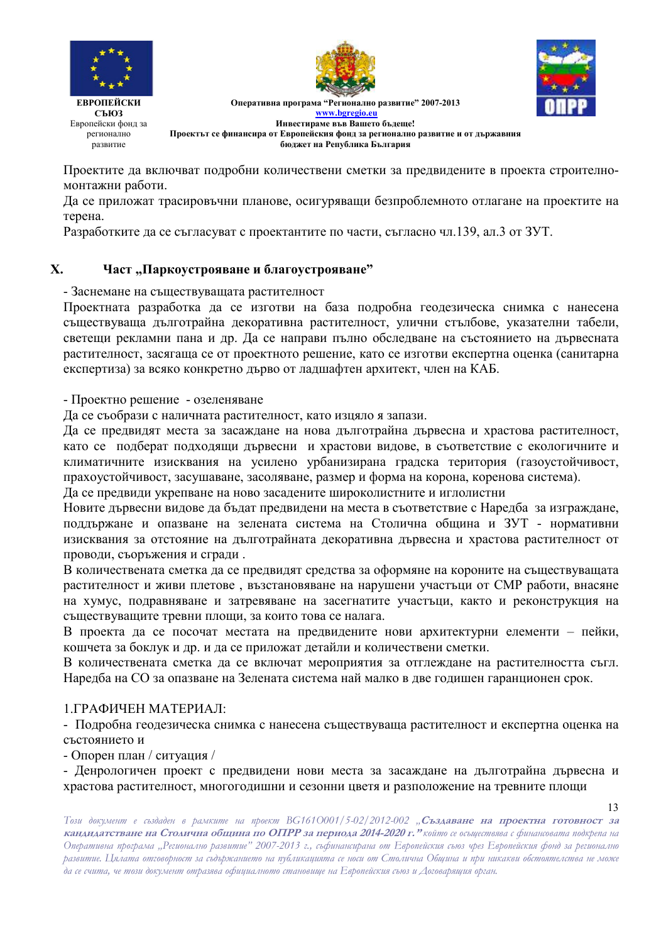





Оперативна програма "Регионално развитие" 2007-2013 www.bgregio.eu Инвестираме във Вашето бълеше! Проектът се финансира от Европейския фонд за регионално развитие и от държавния бюджет на Република България

Проектите да включват подробни количествени сметки за предвидените в проекта строителномонтажни работи.

Да се приложат трасировъчни планове, осигуряващи безпроблемното отлагане на проектите на терена.

Разработките да се съгласуват с проектантите по части, съгласно чл.139, ал.3 от ЗУТ.

#### $\mathbf{X}$ . Част "Паркоустрояване и благоустрояване"

- Заснемане на съществуващата растителност

Проектната разработка да се изготви на база подробна геодезическа снимка с нанесена съществуваща дълготрайна декоративна растителност, улични стълбове, указателни табели, светещи рекламни пана и др. Да се направи пълно обследване на състоянието на дървесната растителност, засягаща се от проектното решение, като се изготви експертна оценка (санитарна експертиза) за всяко конкретно дърво от ладшафтен архитект, член на КАБ.

- Проектно решение - озеленяване

Да се съобрази с наличната растителност, като изцяло я запази.

Да се предвидят места за засаждане на нова дълготрайна дървесна и храстова растителност, като се подберат подходящи дървесни и храстови видове, в съответствие с екологичните и климатичните изисквания на усилено урбанизирана градска територия (газоустойчивост, прахоустойчивост, засушаване, засоляване, размер и форма на корона, коренова система).

Да се предвиди укрепване на ново засадените широколистните и иглолистни

Новите дървесни видове да бъдат предвидени на места в съответствие с Наредба за изграждане, поллържане и опазване на зелената система на Столична обшина и ЗУТ - нормативни изисквания за отстояние на дълготрайната декоративна дървесна и храстова растителност от проводи, съоръжения и сгради.

В количествената сметка да се предвидят средства за оформяне на короните на съществуващата растителност и живи плетове, възстановяване на нарушени участъци от СМР работи, внасяне на хумус, подравняване и затревяване на засегнатите участъци, както и реконструкция на съществуващите тревни площи, за които това се налага.

В проекта да се посочат местата на предвидените нови архитектурни елементи – пейки. кошчета за боклук и др. и да се приложат детайли и количествени сметки.

В количествената сметка да се включат мероприятия за отглеждане на растителността съгл. Наредба на СО за опазване на Зелената система наймалко в две годишен гаранционен срок.

## 1 ГРАФИЧЕН МАТЕРИАЛ·

- Подробна геодезическа снимка с нанесена съществуваща растителност и експертна оценка на състоянието и

- Опорен план / ситуация /

- Денрологичен проект с предвидени нови места за засаждане на дълготрайна дървесна и храстова растителност, многогодишни и сезонни цветя и разположение на тревните площи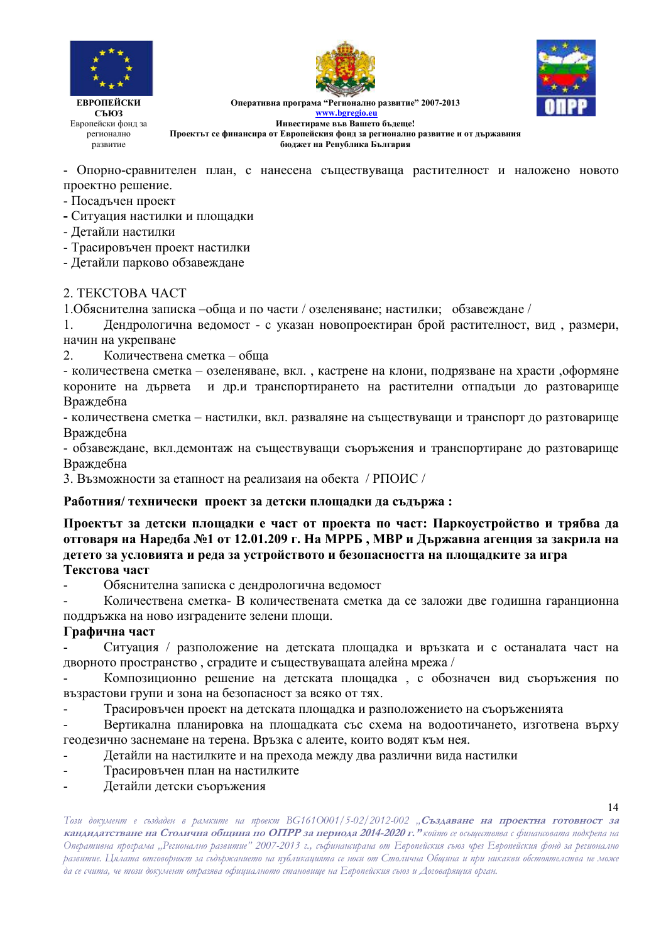





Оперативна програма "Регионално развитие" 2007-2013 www.bgregio.eu Инвестираме във Вашето бъдеще! Проектът се финансира от Европейския фонд за регионално развитие и от държавния

бюджет на Република България

- Опорно-сравнителен план, с нанесена съществуваща растителност и наложено новото проектно решение.

- Посадъчен проект

- Ситуация настилки и площадки
- Детайли настилки

- Трасировъчен проект настилки

- Детайли парково обзавеждане

### 2. TEKCTOBA YACT

1. Обяснителна записка -обща и по части / озеленяване; настилки; обзавеждане /

Дендрологична ведомост - с указан новопроектиран брой растителност, вид, размери,  $1.$ начин на укрепване

 $2^{\circ}$ Количествена сметка – обща

- количествена сметка - озеленяване, вкл., кастрене на клони, подрязване на храсти ,оформяне короните на дървета и др.и транспортирането на растителни отпадъци до разтоварище Враждебна

- количествена сметка - настилки, вкл. разваляне на съществуващи и транспорт до разтоварище Враждебна

- обзавеждане, вкл.демонтаж на съществуващи съоръжения и транспортиране до разтоварище Враждебна

3. Възможности за етапност на реализаия на обекта / РПОИС /

### Работния/ технически проект за детски площадки да съдържа:

Проектът за детски площадки е част от проекта по част: Паркоустройство и трябва да отговаря на Наредба №1 от 12.01.209 г. На МРРБ, МВР и Държавна агенция за закрила на детето за условията и реда за устройството и безопасността на площадките за игра Текстова част

Обяснителна записка с дендрологична ведомост

Количествена сметка- В количествената сметка да се заложи две годишна гаранционна поддръжка на ново изградените зелени площи.

### Графична част

Ситуация / разположение на детската площадка и връзката и с останалата част на дворното пространство, сградите и съществуващата алейна мрежа /

Композиционно решение на детската площадка, с обозначен вид съоръжения по възрастови групи и зона на безопасност за всяко от тях.

Трасировъчен проект на детската площадка и разположението на съоръженията

Вертикална планировка на площадката със схема на водоотичането, изготвена върху  $\blacksquare$ геодезично заснемане на терена. Връзка с алеите, които водят към нея.

- Детайли на настилките и на прехода между два различни вида настилки  $\overline{a}$
- Трасировъчен план на настилките
- Летайли летски съоръжения

 $14$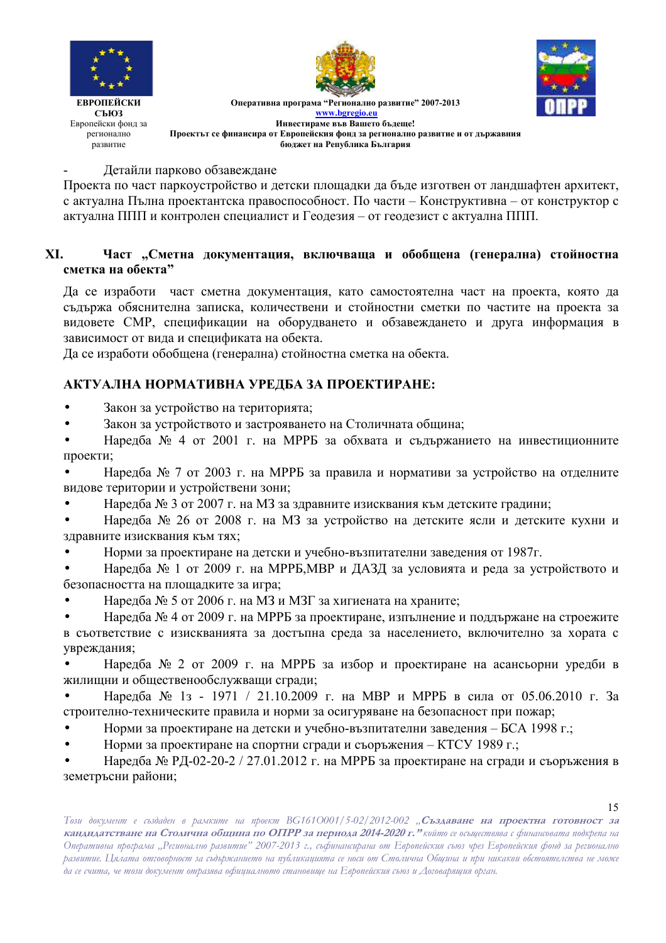





ЕВРОПЕЙСКИ СЪЮЗ Европейски фонд за регионално развитие

Оперативна програма "Регионално развитие" 2007-2013 **www.bgregio.eu Инвестираме във Вашето бъдеще! Проектът се финансира от Европейския фонд за регионално развитие и от държавния бюджет на Република България** 

### - Детайли парково обзавеждане

Проекта по част паркоустройство и детски площадки да бъде изготвен от ландшафтен архитект, с актуална Пълна проектантска правоспособност. По части – Конструктивна – от конструктор с актуална ППП и контролен специалист и Геодезия – от геодезист с актуална ППП.

## ХІ. Част "Сметна документация, включваща и обобщена (генерална) стойностна **сметка на обекта"**

Да се изработи част сметна документация, като самостоятелна част на проекта, която да съдържа обяснителна записка, количествени и стойностни сметки по частите на проекта за видовете СМР, спецификации на оборудването и обзавеждането и друга информация в зависимост от вида и спецификата на обекта.

Да се изработи обобщена (генерална) стойностна сметка на обекта.

## АКТУАЛНА НОРМАТИВНА УРЕДБА ЗА ПРОЕКТИРАНЕ:

- Закон за устройство на територията;
- Закон за устройството и застрояването на Столичната община;

• Наредба № 4 от 2001 г. на МРРБ за обхвата и съдържанието на инвестиционните проекти;

• Наредба № 7 от 2003 г. на МРРБ за правила и нормативи за устройство на отделните видове територии и устройствени зони;

• Наредба № 3 от 2007 г. на МЗ за здравните изисквания към детските градини;

• Наредба № 26 от 2008 г. на МЗ за устройство на детските ясли и детските кухни и здравните изисквания към тях;

• Норми за проектиране на детски и учебно-възпитателни заведения от 1987г.

• Наредба № 1 от 2009 г. на МРРБ, МВР и ДАЗД за условията и реда за устройството и безопасността на площадките за игра;

• Наредба № 5 от 2006 г. на МЗ и МЗГ за хигиената на храните;

• Наредба № 4 от 2009 г. на МРРБ за проектиране, изпълнение и поддържане на строежите в съответствие с изискванията за достъпна среда за населението, включително за хората с увреждания;

• Наредба № 2 от 2009 г. на МРРБ за избор и проектиране на асансьорни уредби в жилищни и общественообслужващи сгради;

• Наредба № 1з - 1971 / 21.10.2009 г. на МВР и МРРБ в сила от 05.06.2010 г. За строително-техническите правила и норми за осигуряване на безопасност при пожар;

- Норми за проектиране на детски и учебно-възпитателни заведения БСА 1998 г.;
- Норми за проектиране на спортни сгради и съоръжения КТСУ 1989 г.;

• Наредба № РД-02-20-2 / 27.01.2012 г. на МРРБ за проектиране на сгради и съоръжения в земетръсни райони;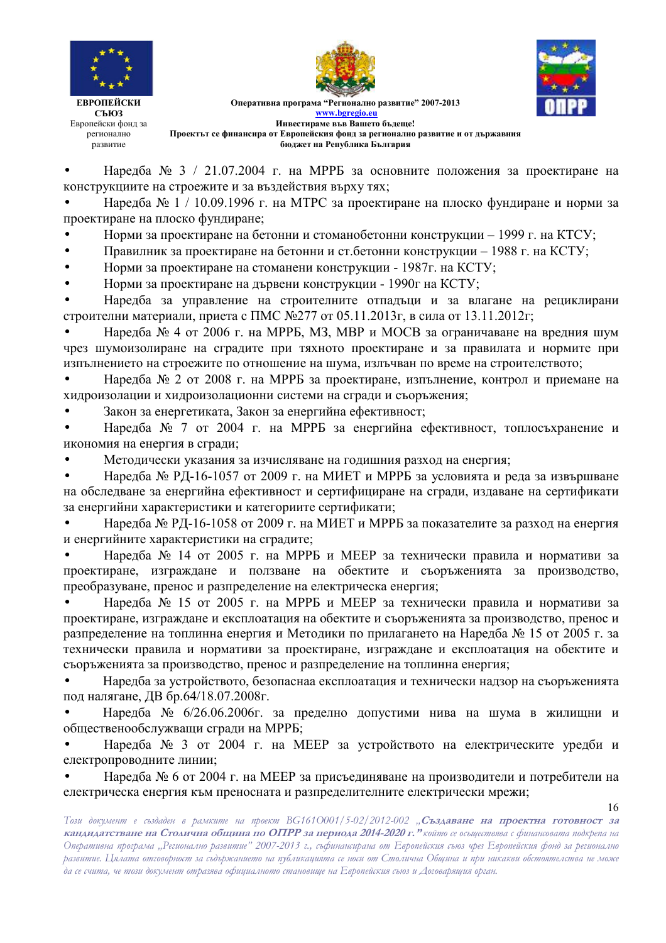



Оперативна програма "Регионално развитие" 2007-2013 **www.bgregio.eu Инвестираме във Вашето бъдеще! Проектът се финансира от Европейския фонд за регионално развитие и от държавния бюджет на Република България** 

• Наредба № 3 / 21.07.2004 г. на МРРБ за основните положения за проектиране на конструкциите на строежите и за въздействия върху тях;

• Наредба № 1 / 10.09.1996 г. на МТРС за проектиране на плоско фундиране и норми за проектиране на плоско фундиране;

• Норми за проектиране на бетонни и стоманобетонни конструкции - 1999 г. на КТСУ;

• Правилник за проектиране на бетонни и ст.бетонни конструкции - 1988 г. на КСТУ;

• Норми за проектиране на стоманени конструкции - 1987г. на КСТУ;

• Норми за проектиране на дървени конструкции - 1990 гна КСТУ;

• Наредба за управление на строителните отпадъци и за влагане на рециклирани строителни материали, приета с ПМС №277 от 05.11.2013г, в сила от 13.11.2012г;

• Наредба № 4 от 2006 г. на МРРБ, МЗ, МВР и МОСВ за ограничаване на вредния шум чрез шумоизолиране на сградите при тяхното проектиране и за правилата и нормите при изпълнението на строежите по отношение на шума, излъчван по време на строителството;

• Наредба № 2 от 2008 г. на МРРБ за проектиране, изпълнение, контрол и приемане на хидроизолации и хидроизолационни системи на сгради и съоръжения;

• Закон за енергетиката, Закон за енергийна ефективност;

• Наредба № 7 от 2004 г. на МРРБ за енергийна ефективност, топлосъхранение и икономия на енергия в сгради;

• Методически указания за изчисляване на годишния разход на енергия;

• Наредба № РД-16-1057 от 2009 г. на МИЕТ и МРРБ за условията и реда за извършване на обследване за енергийна ефективност и сертифициране на сгради, издаване на сертификати за енергийни характеристики и категориите сертификати;

• Наредба № РД-16-1058 от 2009 г. на МИЕТ и МРРБ за показателите за разход на енергия и енергийните характеристики на сградите;

• Наредба № 14 от 2005 г. на МРРБ и МЕЕР за технически правила и нормативи за проектиране, изграждане и ползване на обектите и съоръженията за производство, преобразуване, пренос и разпределение на електрическа енергия;

• Наредба № 15 от 2005 г. на МРРБ и МЕЕР за технически правила и нормативи за проектиране, изграждане и експлоатация на обектите и съоръженията за производство, пренос и разпределение на топлинна енергия и Методики по прилагането на Наредба № 15 от 2005 г. за технически правила и нормативи за проектиране, изграждане и експлоатация на обектите и съоръженията за производство, пренос и разпределение на топлинна енергия;

• Наредба за устройството, безопаснаа експлоатация и технически надзор на съоръженията под налягане, ДВ бр.64/18.07.2008г.

• Наредба № 6/26.06.2006г. за пределно допустими нива на шума в жилищни и общественообслужващи сгради на МРРБ;

• Наредба № 3 от 2004 г. на МЕЕР за устройството на електрическите уредби и електропроводните линии;

• Наредба № 6 от 2004 г. на МЕЕР за присъединяване на производители и потребители на електрическа енергия към преносната и разпределителните електрически мрежи;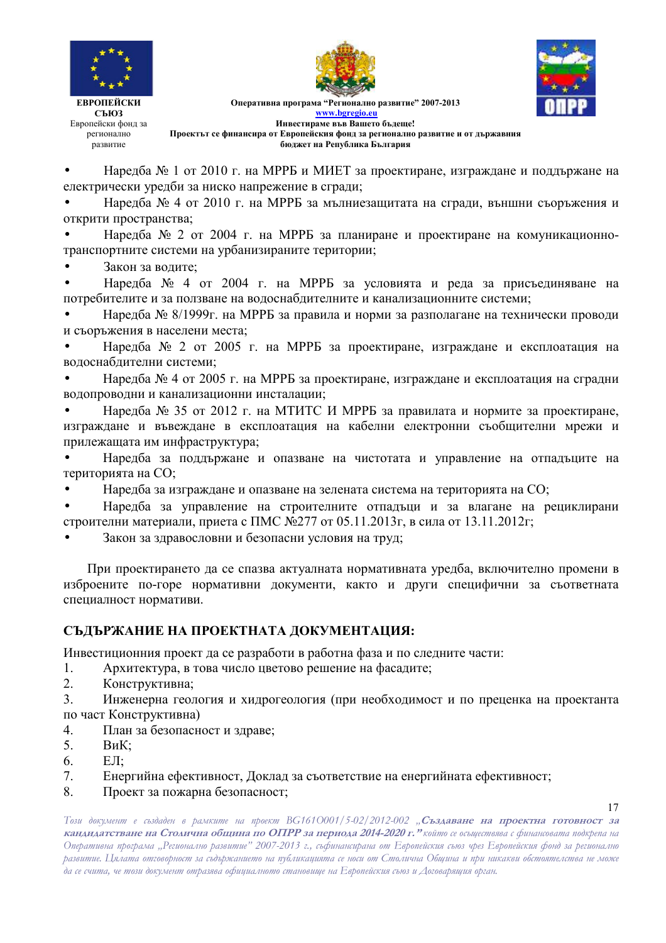



Оперативна програма "Регионално развитие" 2007-2013 **www.bgregio.eu Инвестираме във Вашето бъдеще! Проектът се финансира от Европейския фонд за регионално развитие и от държавния** 

**бюджет на Република България** 

• Наредба № 1 от 2010 г. на МРРБ и МИЕТ за проектиране, изграждане и поддържане на електрически уредби за ниско напрежение в сгради;

• Наредба № 4 от 2010 г. на МРРБ за мълниезащитата на сгради, външни съоръжения и открити пространства;

• Наредба № 2 от 2004 г. на МРРБ за планиране и проектиране на комуникационнотранспортните системи на урбанизираните територии;

• Закон за водите;

• Наредба № 4 от 2004 г. на МРРБ за условията и реда за присъединяване на потребителите и за ползване на водоснабдителните и канализационните системи;

• Наредба № 8/1999г. на МРРБ за правила и норми за разполагане на технически проводи и съоръжения в населени места;

• Наредба № 2 от 2005 г. на МРРБ за проектиране, изграждане и експлоатация на водоснабдителни системи;

• Наредба № 4 от 2005 г. на МРРБ за проектиране, изграждане и експлоатация на сградни водопроводни и канализационни инсталации;

• Наредба № 35 от 2012 г. на МТИТС И МРРБ за правилата и нормите за проектиране, изграждане и въвеждане в експлоатация на кабелни електронни съобщителни мрежи и прилежащата им инфраструктура;

• Наредба за поддържане и опазване на чистотата и управление на отпадъците на територията на СО;

• Наредба за изграждане и опазване на зелената система на територията на СО;

• Наредба за управление на строителните отпадъци и за влагане на рециклирани строителни материали, приета с ПМС №277 от 05.11.2013г, в сила от 13.11.2012г;

• Закон за здравословни и безопасни условия на труд;

При проектирането да се спазва актуалната нормативната уредба, включително промени в изброените по-горе нормативни документи, както и други специфични за съответната специалност нормативи.

## **СЪДЪРЖАНИЕ НА ПРОЕКТНАТА ДОКУМЕНТАЦИЯ:**

Инвестиционния проект да се разработи в работна фаза и по следните части:

- 1. Архитектура, в това число цветово решение на фасадите;
- 2. Конструктивна;

3. Инженерна геология и хидрогеология (при необходимост и по преценка на проектанта по част Конструктивна)

- 4. План за безопасност и здраве;
- 5. ВиК;
- 6  $E.\Pi$
- 7. Енергийна ефективност, Доклад за съответствие на енергийната ефективност;
- 8. Проект за пожарна безопасност;